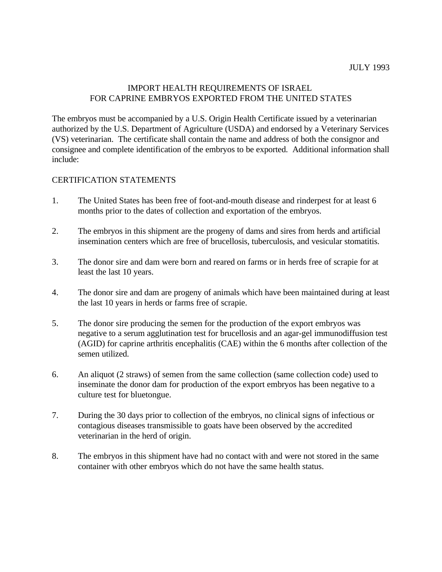# IMPORT HEALTH REQUIREMENTS OF ISRAEL FOR CAPRINE EMBRYOS EXPORTED FROM THE UNITED STATES

The embryos must be accompanied by a U.S. Origin Health Certificate issued by a veterinarian authorized by the U.S. Department of Agriculture (USDA) and endorsed by a Veterinary Services (VS) veterinarian. The certificate shall contain the name and address of both the consignor and consignee and complete identification of the embryos to be exported. Additional information shall include:

# CERTIFICATION STATEMENTS

- 1. The United States has been free of foot-and-mouth disease and rinderpest for at least 6 months prior to the dates of collection and exportation of the embryos.
- 2. The embryos in this shipment are the progeny of dams and sires from herds and artificial insemination centers which are free of brucellosis, tuberculosis, and vesicular stomatitis.
- 3. The donor sire and dam were born and reared on farms or in herds free of scrapie for at least the last 10 years.
- 4. The donor sire and dam are progeny of animals which have been maintained during at least the last 10 years in herds or farms free of scrapie.
- 5. The donor sire producing the semen for the production of the export embryos was negative to a serum agglutination test for brucellosis and an agar-gel immunodiffusion test (AGID) for caprine arthritis encephalitis (CAE) within the 6 months after collection of the semen utilized.
- 6. An aliquot (2 straws) of semen from the same collection (same collection code) used to inseminate the donor dam for production of the export embryos has been negative to a culture test for bluetongue.
- 7. During the 30 days prior to collection of the embryos, no clinical signs of infectious or contagious diseases transmissible to goats have been observed by the accredited veterinarian in the herd of origin.
- 8. The embryos in this shipment have had no contact with and were not stored in the same container with other embryos which do not have the same health status.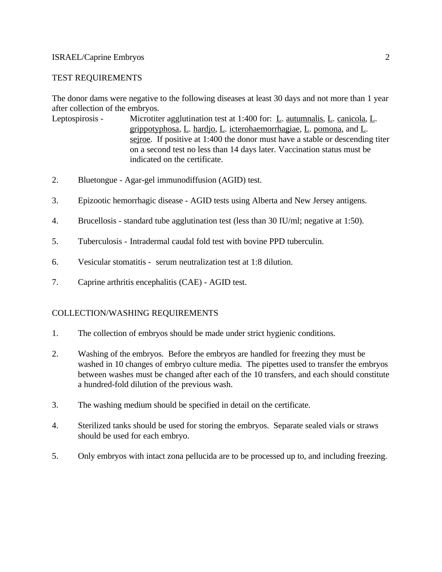#### ISRAEL/Caprine Embryos 2

#### TEST REQUIREMENTS

The donor dams were negative to the following diseases at least 30 days and not more than 1 year after collection of the embryos.

- Leptospirosis Microtiter agglutination test at 1:400 for: L. <u>autumnalis, L. canicola, L.</u> grippotyphosa, L. hardjo, L. icterohaemorrhagiae, L. pomona, and L. sejroe. If positive at 1:400 the donor must have a stable or descending titer on a second test no less than 14 days later. Vaccination status must be indicated on the certificate.
- 2. Bluetongue Agar-gel immunodiffusion (AGID) test.
- 3. Epizootic hemorrhagic disease AGID tests using Alberta and New Jersey antigens.
- 4. Brucellosis standard tube agglutination test (less than 30 IU/ml; negative at 1:50).
- 5. Tuberculosis Intradermal caudal fold test with bovine PPD tuberculin.
- 6. Vesicular stomatitis serum neutralization test at 1:8 dilution.
- 7. Caprine arthritis encephalitis (CAE) AGID test.

## COLLECTION/WASHING REQUIREMENTS

- 1. The collection of embryos should be made under strict hygienic conditions.
- 2. Washing of the embryos. Before the embryos are handled for freezing they must be washed in 10 changes of embryo culture media. The pipettes used to transfer the embryos between washes must be changed after each of the 10 transfers, and each should constitute a hundred-fold dilution of the previous wash.
- 3. The washing medium should be specified in detail on the certificate.
- 4. Sterilized tanks should be used for storing the embryos. Separate sealed vials or straws should be used for each embryo.
- 5. Only embryos with intact zona pellucida are to be processed up to, and including freezing.